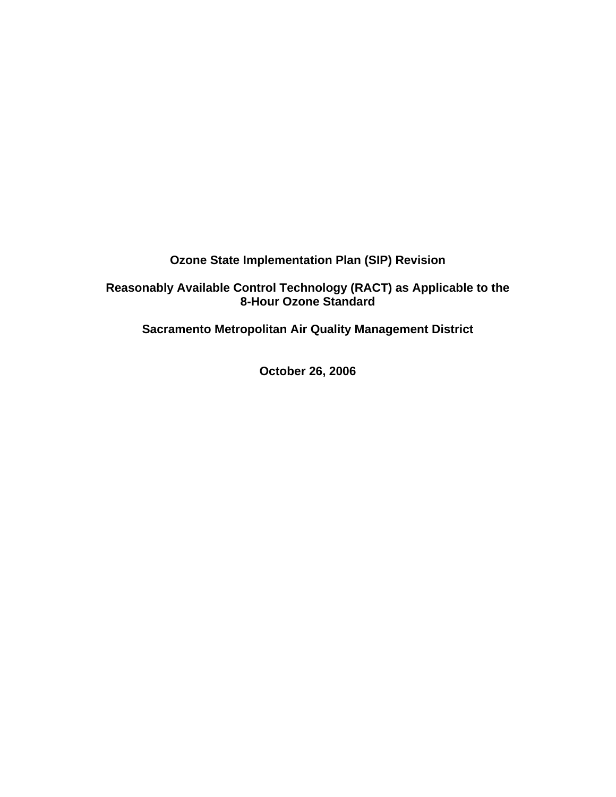**Ozone State Implementation Plan (SIP) Revision** 

**Reasonably Available Control Technology (RACT) as Applicable to the 8-Hour Ozone Standard** 

**Sacramento Metropolitan Air Quality Management District** 

**October 26, 2006**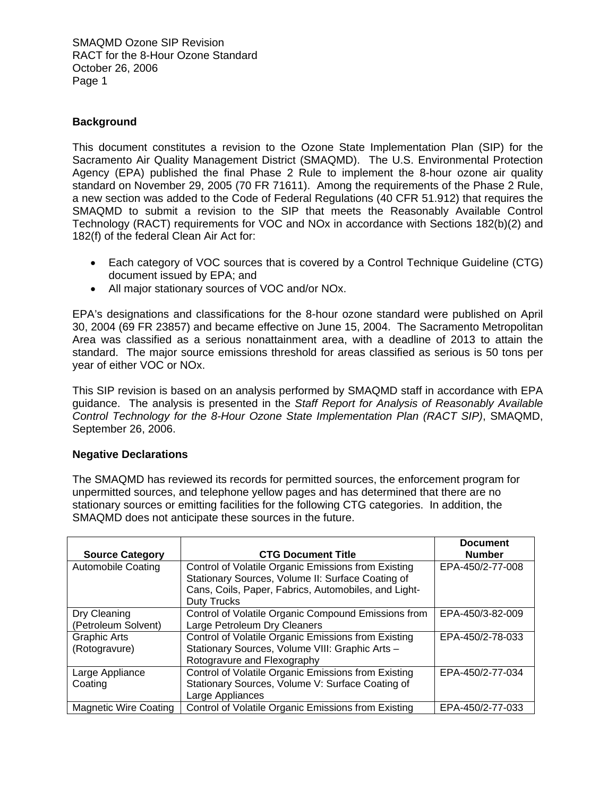### **Background**

This document constitutes a revision to the Ozone State Implementation Plan (SIP) for the Sacramento Air Quality Management District (SMAQMD). The U.S. Environmental Protection Agency (EPA) published the final Phase 2 Rule to implement the 8-hour ozone air quality standard on November 29, 2005 (70 FR 71611). Among the requirements of the Phase 2 Rule, a new section was added to the Code of Federal Regulations (40 CFR 51.912) that requires the SMAQMD to submit a revision to the SIP that meets the Reasonably Available Control Technology (RACT) requirements for VOC and NOx in accordance with Sections 182(b)(2) and 182(f) of the federal Clean Air Act for:

- Each category of VOC sources that is covered by a Control Technique Guideline (CTG) document issued by EPA; and
- All major stationary sources of VOC and/or NOx.

EPA's designations and classifications for the 8-hour ozone standard were published on April 30, 2004 (69 FR 23857) and became effective on June 15, 2004. The Sacramento Metropolitan Area was classified as a serious nonattainment area, with a deadline of 2013 to attain the standard. The major source emissions threshold for areas classified as serious is 50 tons per year of either VOC or NOx.

This SIP revision is based on an analysis performed by SMAQMD staff in accordance with EPA guidance. The analysis is presented in the *Staff Report for Analysis of Reasonably Available Control Technology for the 8-Hour Ozone State Implementation Plan (RACT SIP)*, SMAQMD, September 26, 2006.

### **Negative Declarations**

The SMAQMD has reviewed its records for permitted sources, the enforcement program for unpermitted sources, and telephone yellow pages and has determined that there are no stationary sources or emitting facilities for the following CTG categories. In addition, the SMAQMD does not anticipate these sources in the future.

|                              |                                                      | <b>Document</b>  |
|------------------------------|------------------------------------------------------|------------------|
| <b>Source Category</b>       | <b>CTG Document Title</b>                            | <b>Number</b>    |
| <b>Automobile Coating</b>    | Control of Volatile Organic Emissions from Existing  | EPA-450/2-77-008 |
|                              | Stationary Sources, Volume II: Surface Coating of    |                  |
|                              | Cans, Coils, Paper, Fabrics, Automobiles, and Light- |                  |
|                              | <b>Duty Trucks</b>                                   |                  |
| Dry Cleaning                 | Control of Volatile Organic Compound Emissions from  | EPA-450/3-82-009 |
| (Petroleum Solvent)          | Large Petroleum Dry Cleaners                         |                  |
| <b>Graphic Arts</b>          | Control of Volatile Organic Emissions from Existing  | EPA-450/2-78-033 |
| (Rotogravure)                | Stationary Sources, Volume VIII: Graphic Arts -      |                  |
|                              | Rotogravure and Flexography                          |                  |
| Large Appliance              | Control of Volatile Organic Emissions from Existing  | EPA-450/2-77-034 |
| Coating                      | Stationary Sources, Volume V: Surface Coating of     |                  |
|                              | Large Appliances                                     |                  |
| <b>Magnetic Wire Coating</b> | Control of Volatile Organic Emissions from Existing  | EPA-450/2-77-033 |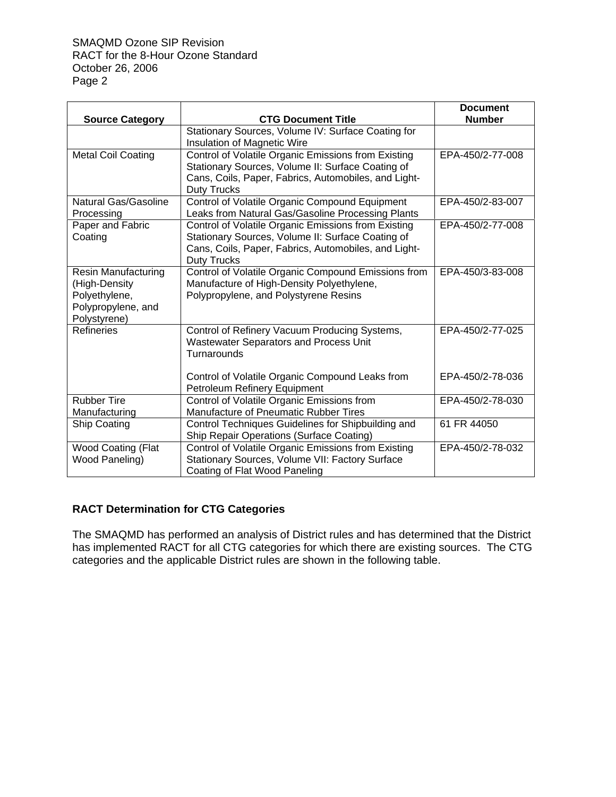|                                   |                                                                                                | <b>Document</b>  |
|-----------------------------------|------------------------------------------------------------------------------------------------|------------------|
| <b>Source Category</b>            | <b>CTG Document Title</b>                                                                      | <b>Number</b>    |
|                                   | Stationary Sources, Volume IV: Surface Coating for                                             |                  |
|                                   | Insulation of Magnetic Wire                                                                    |                  |
| <b>Metal Coil Coating</b>         | Control of Volatile Organic Emissions from Existing                                            | EPA-450/2-77-008 |
|                                   | Stationary Sources, Volume II: Surface Coating of                                              |                  |
|                                   | Cans, Coils, Paper, Fabrics, Automobiles, and Light-                                           |                  |
|                                   | <b>Duty Trucks</b>                                                                             |                  |
| Natural Gas/Gasoline              | Control of Volatile Organic Compound Equipment                                                 | EPA-450/2-83-007 |
| Processing                        | Leaks from Natural Gas/Gasoline Processing Plants                                              |                  |
| Paper and Fabric                  | Control of Volatile Organic Emissions from Existing                                            | EPA-450/2-77-008 |
| Coating                           | Stationary Sources, Volume II: Surface Coating of                                              |                  |
|                                   | Cans, Coils, Paper, Fabrics, Automobiles, and Light-                                           |                  |
|                                   | <b>Duty Trucks</b>                                                                             |                  |
| <b>Resin Manufacturing</b>        | Control of Volatile Organic Compound Emissions from                                            | EPA-450/3-83-008 |
| (High-Density                     | Manufacture of High-Density Polyethylene,                                                      |                  |
| Polyethylene,                     | Polypropylene, and Polystyrene Resins                                                          |                  |
| Polypropylene, and                |                                                                                                |                  |
| Polystyrene)<br><b>Refineries</b> |                                                                                                | EPA-450/2-77-025 |
|                                   | Control of Refinery Vacuum Producing Systems,<br><b>Wastewater Separators and Process Unit</b> |                  |
|                                   | Turnarounds                                                                                    |                  |
|                                   |                                                                                                |                  |
|                                   | Control of Volatile Organic Compound Leaks from                                                | EPA-450/2-78-036 |
|                                   | Petroleum Refinery Equipment                                                                   |                  |
| <b>Rubber Tire</b>                | Control of Volatile Organic Emissions from                                                     | EPA-450/2-78-030 |
| Manufacturing                     | Manufacture of Pneumatic Rubber Tires                                                          |                  |
| Ship Coating                      | Control Techniques Guidelines for Shipbuilding and                                             | 61 FR 44050      |
|                                   | <b>Ship Repair Operations (Surface Coating)</b>                                                |                  |
| Wood Coating (Flat                | Control of Volatile Organic Emissions from Existing                                            | EPA-450/2-78-032 |
| Wood Paneling)                    | Stationary Sources, Volume VII: Factory Surface                                                |                  |
|                                   | Coating of Flat Wood Paneling                                                                  |                  |

### **RACT Determination for CTG Categories**

The SMAQMD has performed an analysis of District rules and has determined that the District has implemented RACT for all CTG categories for which there are existing sources. The CTG categories and the applicable District rules are shown in the following table.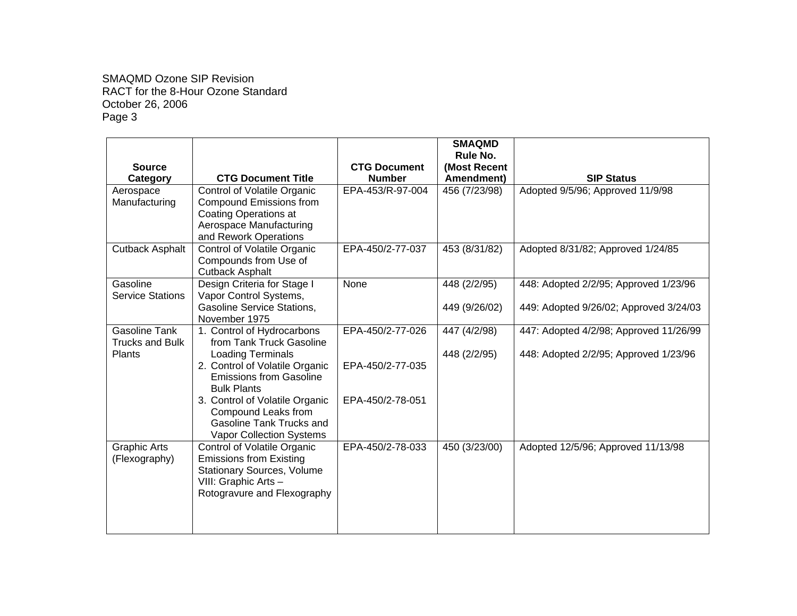|                                                |                                                                                                                                                           |                     | <b>SMAQMD</b><br>Rule No. |                                        |
|------------------------------------------------|-----------------------------------------------------------------------------------------------------------------------------------------------------------|---------------------|---------------------------|----------------------------------------|
| <b>Source</b>                                  |                                                                                                                                                           | <b>CTG Document</b> | (Most Recent              |                                        |
| Category                                       | <b>CTG Document Title</b>                                                                                                                                 | <b>Number</b>       | Amendment)                | <b>SIP Status</b>                      |
| Aerospace<br>Manufacturing                     | Control of Volatile Organic<br><b>Compound Emissions from</b><br><b>Coating Operations at</b><br>Aerospace Manufacturing<br>and Rework Operations         | EPA-453/R-97-004    | 456 (7/23/98)             | Adopted 9/5/96; Approved 11/9/98       |
| <b>Cutback Asphalt</b>                         | Control of Volatile Organic<br>Compounds from Use of<br><b>Cutback Asphalt</b>                                                                            | EPA-450/2-77-037    | 453 (8/31/82)             | Adopted 8/31/82; Approved 1/24/85      |
| Gasoline<br><b>Service Stations</b>            | Design Criteria for Stage I<br>Vapor Control Systems,                                                                                                     | None                | 448 (2/2/95)              | 448: Adopted 2/2/95; Approved 1/23/96  |
|                                                | <b>Gasoline Service Stations,</b><br>November 1975                                                                                                        |                     | 449 (9/26/02)             | 449: Adopted 9/26/02; Approved 3/24/03 |
| <b>Gasoline Tank</b><br><b>Trucks and Bulk</b> | 1. Control of Hydrocarbons<br>from Tank Truck Gasoline                                                                                                    | EPA-450/2-77-026    | 447 (4/2/98)              | 447: Adopted 4/2/98; Approved 11/26/99 |
| <b>Plants</b>                                  | <b>Loading Terminals</b><br>2. Control of Volatile Organic<br><b>Emissions from Gasoline</b><br><b>Bulk Plants</b>                                        | EPA-450/2-77-035    | 448 (2/2/95)              | 448: Adopted 2/2/95; Approved 1/23/96  |
|                                                | 3. Control of Volatile Organic<br>Compound Leaks from<br><b>Gasoline Tank Trucks and</b><br>Vapor Collection Systems                                      | EPA-450/2-78-051    |                           |                                        |
| <b>Graphic Arts</b><br>(Flexography)           | Control of Volatile Organic<br><b>Emissions from Existing</b><br><b>Stationary Sources, Volume</b><br>VIII: Graphic Arts -<br>Rotogravure and Flexography | EPA-450/2-78-033    | 450 (3/23/00)             | Adopted 12/5/96; Approved 11/13/98     |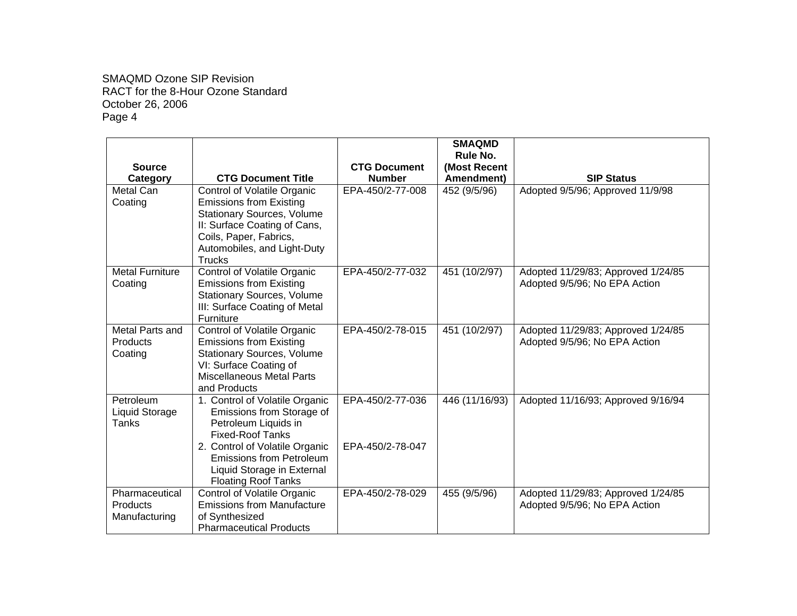|                                                    |                                                                                                                                                                                                                                                 |                                      | <b>SMAQMD</b><br>Rule No. |                                                                     |
|----------------------------------------------------|-------------------------------------------------------------------------------------------------------------------------------------------------------------------------------------------------------------------------------------------------|--------------------------------------|---------------------------|---------------------------------------------------------------------|
| <b>Source</b>                                      |                                                                                                                                                                                                                                                 | <b>CTG Document</b>                  | (Most Recent              |                                                                     |
| Category                                           | <b>CTG Document Title</b>                                                                                                                                                                                                                       | <b>Number</b>                        | Amendment)                | <b>SIP Status</b>                                                   |
| Metal Can<br>Coating                               | Control of Volatile Organic<br><b>Emissions from Existing</b><br><b>Stationary Sources, Volume</b><br>II: Surface Coating of Cans,<br>Coils, Paper, Fabrics,<br>Automobiles, and Light-Duty<br><b>Trucks</b>                                    | EPA-450/2-77-008                     | 452 (9/5/96)              | Adopted 9/5/96; Approved 11/9/98                                    |
| <b>Metal Furniture</b><br>Coating                  | Control of Volatile Organic<br><b>Emissions from Existing</b><br><b>Stationary Sources, Volume</b><br>III: Surface Coating of Metal<br>Furniture                                                                                                | EPA-450/2-77-032                     | 451 (10/2/97)             | Adopted 11/29/83; Approved 1/24/85<br>Adopted 9/5/96; No EPA Action |
| Metal Parts and<br>Products<br>Coating             | Control of Volatile Organic<br><b>Emissions from Existing</b><br><b>Stationary Sources, Volume</b><br>VI: Surface Coating of<br>Miscellaneous Metal Parts<br>and Products                                                                       | EPA-450/2-78-015                     | 451 (10/2/97)             | Adopted 11/29/83; Approved 1/24/85<br>Adopted 9/5/96; No EPA Action |
| <b>Petroleum</b><br><b>Liquid Storage</b><br>Tanks | 1. Control of Volatile Organic<br>Emissions from Storage of<br>Petroleum Liquids in<br><b>Fixed-Roof Tanks</b><br>2. Control of Volatile Organic<br><b>Emissions from Petroleum</b><br>Liquid Storage in External<br><b>Floating Roof Tanks</b> | EPA-450/2-77-036<br>EPA-450/2-78-047 | 446 (11/16/93)            | Adopted 11/16/93; Approved 9/16/94                                  |
| Pharmaceutical<br><b>Products</b><br>Manufacturing | Control of Volatile Organic<br><b>Emissions from Manufacture</b><br>of Synthesized<br><b>Pharmaceutical Products</b>                                                                                                                            | EPA-450/2-78-029                     | 455 (9/5/96)              | Adopted 11/29/83; Approved 1/24/85<br>Adopted 9/5/96; No EPA Action |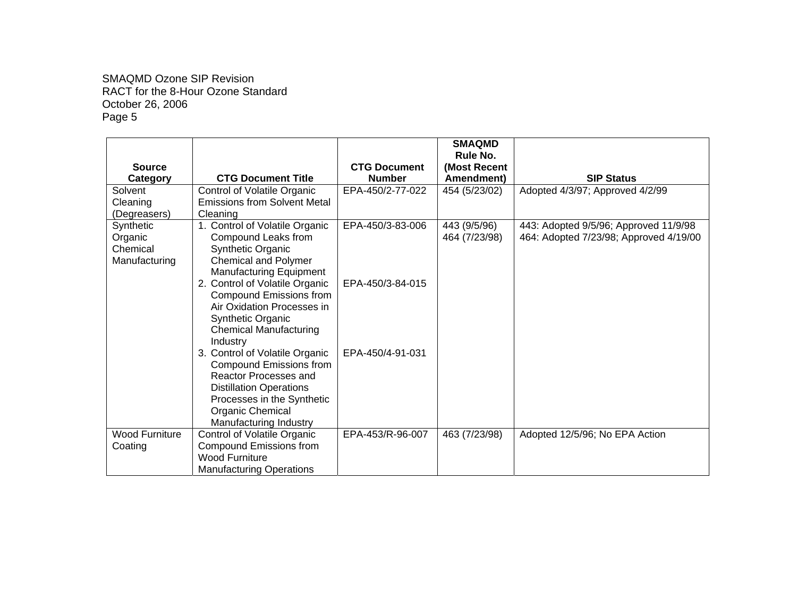|                       |                                            |                     | <b>SMAQMD</b><br>Rule No. |                                        |
|-----------------------|--------------------------------------------|---------------------|---------------------------|----------------------------------------|
| <b>Source</b>         |                                            | <b>CTG Document</b> | (Most Recent              |                                        |
| Category              | <b>CTG Document Title</b>                  | <b>Number</b>       | Amendment)                | <b>SIP Status</b>                      |
| Solvent               | Control of Volatile Organic                | EPA-450/2-77-022    | 454 (5/23/02)             | Adopted 4/3/97; Approved 4/2/99        |
| Cleaning              | <b>Emissions from Solvent Metal</b>        |                     |                           |                                        |
| (Degreasers)          | Cleaning                                   |                     |                           |                                        |
| Synthetic             | 1. Control of Volatile Organic             | EPA-450/3-83-006    | 443 (9/5/96)              | 443: Adopted 9/5/96; Approved 11/9/98  |
| Organic<br>Chemical   | Compound Leaks from<br>Synthetic Organic   |                     | 464 (7/23/98)             | 464: Adopted 7/23/98; Approved 4/19/00 |
| Manufacturing         | <b>Chemical and Polymer</b>                |                     |                           |                                        |
|                       | <b>Manufacturing Equipment</b>             |                     |                           |                                        |
|                       | 2. Control of Volatile Organic             | EPA-450/3-84-015    |                           |                                        |
|                       | <b>Compound Emissions from</b>             |                     |                           |                                        |
|                       | Air Oxidation Processes in                 |                     |                           |                                        |
|                       | Synthetic Organic                          |                     |                           |                                        |
|                       | <b>Chemical Manufacturing</b>              |                     |                           |                                        |
|                       | Industry<br>3. Control of Volatile Organic | EPA-450/4-91-031    |                           |                                        |
|                       | <b>Compound Emissions from</b>             |                     |                           |                                        |
|                       | Reactor Processes and                      |                     |                           |                                        |
|                       | <b>Distillation Operations</b>             |                     |                           |                                        |
|                       | Processes in the Synthetic                 |                     |                           |                                        |
|                       | Organic Chemical                           |                     |                           |                                        |
|                       | Manufacturing Industry                     |                     |                           |                                        |
| <b>Wood Furniture</b> | Control of Volatile Organic                | EPA-453/R-96-007    | 463 (7/23/98)             | Adopted 12/5/96; No EPA Action         |
| Coating               | Compound Emissions from                    |                     |                           |                                        |
|                       | <b>Wood Furniture</b>                      |                     |                           |                                        |
|                       | <b>Manufacturing Operations</b>            |                     |                           |                                        |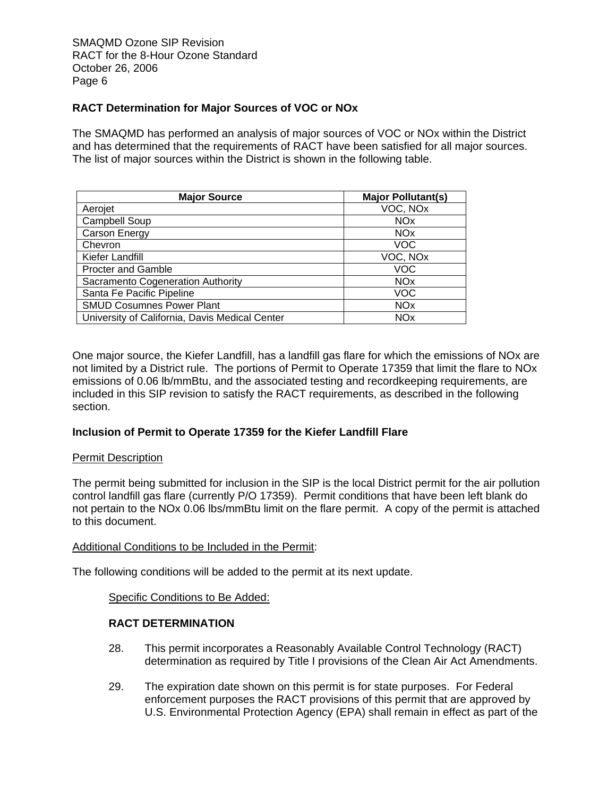### **RACT Determination for Major Sources of VOC or NOx**

The SMAQMD has performed an analysis of major sources of VOC or NOx within the District and has determined that the requirements of RACT have been satisfied for all major sources. The list of major sources within the District is shown in the following table.

| <b>Major Source</b>                            | <b>Major Pollutant(s)</b> |
|------------------------------------------------|---------------------------|
| Aerojet                                        | VOC, NOx                  |
| <b>Campbell Soup</b>                           | <b>NO<sub>x</sub></b>     |
| <b>Carson Energy</b>                           | <b>NO<sub>x</sub></b>     |
| Chevron                                        | VOC                       |
| Kiefer Landfill                                | VOC, NOx                  |
| <b>Procter and Gamble</b>                      | <b>VOC</b>                |
| Sacramento Cogeneration Authority              | <b>NO<sub>x</sub></b>     |
| Santa Fe Pacific Pipeline                      | VOC                       |
| <b>SMUD Cosumnes Power Plant</b>               | <b>NO<sub>x</sub></b>     |
| University of California, Davis Medical Center | NOx                       |

One major source, the Kiefer Landfill, has a landfill gas flare for which the emissions of NOx are not limited by a District rule. The portions of Permit to Operate 17359 that limit the flare to NOx emissions of 0.06 lb/mmBtu, and the associated testing and recordkeeping requirements, are included in this SIP revision to satisfy the RACT requirements, as described in the following section.

### **Inclusion of Permit to Operate 17359 for the Kiefer Landfill Flare**

#### Permit Description

The permit being submitted for inclusion in the SIP is the local District permit for the air pollution control landfill gas flare (currently P/O 17359). Permit conditions that have been left blank do not pertain to the NOx 0.06 lbs/mmBtu limit on the flare permit. A copy of the permit is attached to this document.

### Additional Conditions to be Included in the Permit:

The following conditions will be added to the permit at its next update.

Specific Conditions to Be Added:

### **RACT DETERMINATION**

- 28. This permit incorporates a Reasonably Available Control Technology (RACT) determination as required by Title I provisions of the Clean Air Act Amendments.
- 29. The expiration date shown on this permit is for state purposes. For Federal enforcement purposes the RACT provisions of this permit that are approved by U.S. Environmental Protection Agency (EPA) shall remain in effect as part of the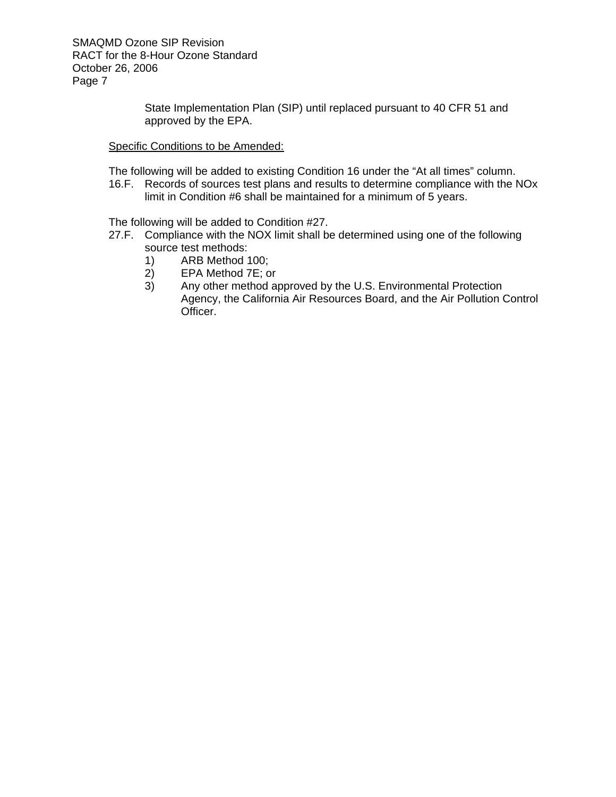> State Implementation Plan (SIP) until replaced pursuant to 40 CFR 51 and approved by the EPA.

### Specific Conditions to be Amended:

The following will be added to existing Condition 16 under the "At all times" column.

16.F. Records of sources test plans and results to determine compliance with the NOx limit in Condition #6 shall be maintained for a minimum of 5 years.

The following will be added to Condition #27.

- 27.F. Compliance with the NOX limit shall be determined using one of the following source test methods:
	- 1) ARB Method 100;<br>2) EPA Method 7E; o
	- 2) EPA Method 7E; or
	- 3) Any other method approved by the U.S. Environmental Protection Agency, the California Air Resources Board, and the Air Pollution Control Officer.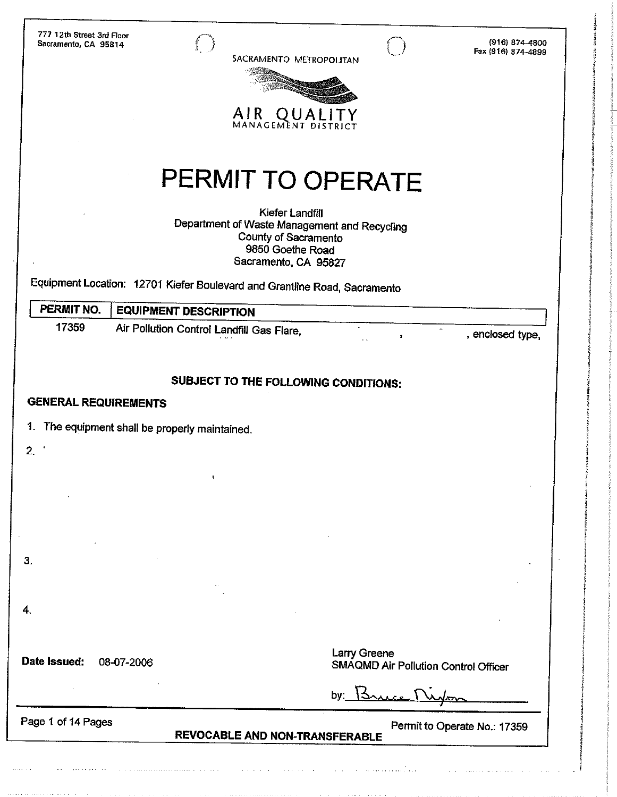| 777 12th Street 3rd Floor<br>Sacramento, CA 95814                         | <b>Service</b>                            |                                                                                                                                            | (916) 874-4800<br>Fax (916) 874-4899 |
|---------------------------------------------------------------------------|-------------------------------------------|--------------------------------------------------------------------------------------------------------------------------------------------|--------------------------------------|
|                                                                           |                                           | SACRAMENTO METROPOLITAN                                                                                                                    |                                      |
|                                                                           |                                           |                                                                                                                                            |                                      |
|                                                                           | AIR<br>MANAGEMENT                         | <b>DISTRICT</b>                                                                                                                            |                                      |
|                                                                           |                                           |                                                                                                                                            |                                      |
|                                                                           |                                           | PERMIT TO OPERATE                                                                                                                          |                                      |
|                                                                           |                                           |                                                                                                                                            |                                      |
|                                                                           |                                           | Kiefer Landfill<br>Department of Waste Management and Recycling<br><b>County of Sacramento</b><br>9850 Goethe Road<br>Sacramento, CA 95827 |                                      |
| Equipment Location: 12701 Kiefer Boulevard and Grantline Road, Sacramento |                                           |                                                                                                                                            |                                      |
| PERMIT NO.                                                                | <b>EQUIPMENT DESCRIPTION</b>              |                                                                                                                                            |                                      |
| 17359                                                                     | Air Pollution Control Landfill Gas Flare, | ,                                                                                                                                          | , enclosed type,                     |
|                                                                           |                                           |                                                                                                                                            |                                      |
|                                                                           |                                           | SUBJECT TO THE FOLLOWING CONDITIONS:                                                                                                       |                                      |
| <b>GENERAL REQUIREMENTS</b>                                               |                                           |                                                                                                                                            |                                      |
| The equipment shall be properly maintained.                               |                                           |                                                                                                                                            |                                      |
|                                                                           |                                           |                                                                                                                                            |                                      |
|                                                                           |                                           |                                                                                                                                            |                                      |
|                                                                           |                                           |                                                                                                                                            |                                      |
|                                                                           |                                           |                                                                                                                                            |                                      |
|                                                                           |                                           |                                                                                                                                            |                                      |
|                                                                           |                                           |                                                                                                                                            |                                      |
|                                                                           |                                           |                                                                                                                                            |                                      |
|                                                                           |                                           |                                                                                                                                            |                                      |
|                                                                           |                                           |                                                                                                                                            |                                      |
|                                                                           |                                           |                                                                                                                                            |                                      |
| 08-07-2006                                                                |                                           | Larry Greene                                                                                                                               |                                      |
|                                                                           |                                           | <b>SMAQMD Air Pollution Control Officer</b>                                                                                                |                                      |
|                                                                           |                                           | by:                                                                                                                                        |                                      |
| Date Issued:<br>Page 1 of 14 Pages                                        | REVOCABLE AND NON-TRANSFERABLE            |                                                                                                                                            | Permit to Operate No.: 17359         |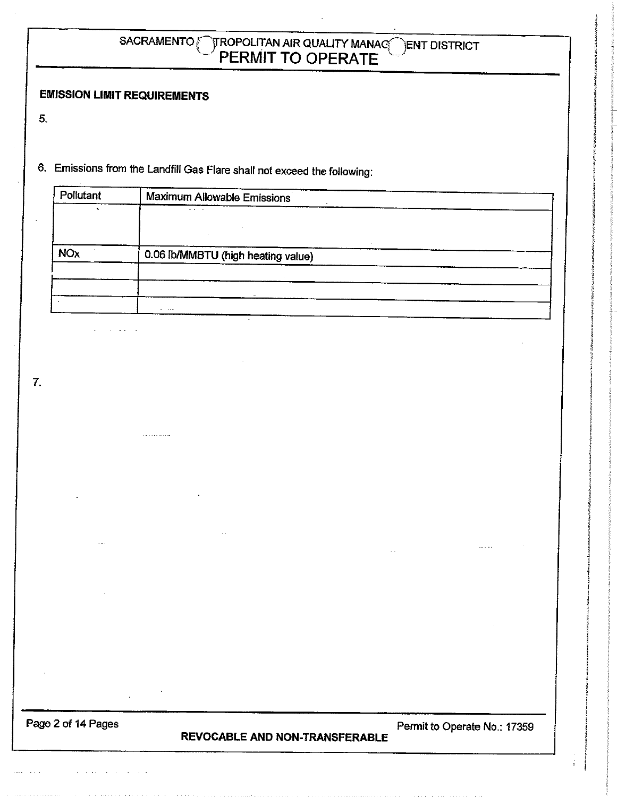## SACRAMENTO TROPOLITAN AIR QUALITY MANAGE BIT DISTRICT

### **EMISSION LIMIT REQUIREMENTS**

. . . . . . . . . .

 $5.$ 

6. Emissions from the Landfill Gas Flare shall not exceed the following:

| Pollutant             | Maximum Allowable Emissions        |  |
|-----------------------|------------------------------------|--|
|                       | $\cdots$                           |  |
|                       |                                    |  |
| <b>NO<sub>x</sub></b> |                                    |  |
|                       | 0.06 lb/MMBTU (high heating value) |  |
|                       |                                    |  |
|                       |                                    |  |
|                       | $   -$                             |  |

7.

Page 2 of 14 Pages

**REVOCABLE AND NON-TRANSFERABLE**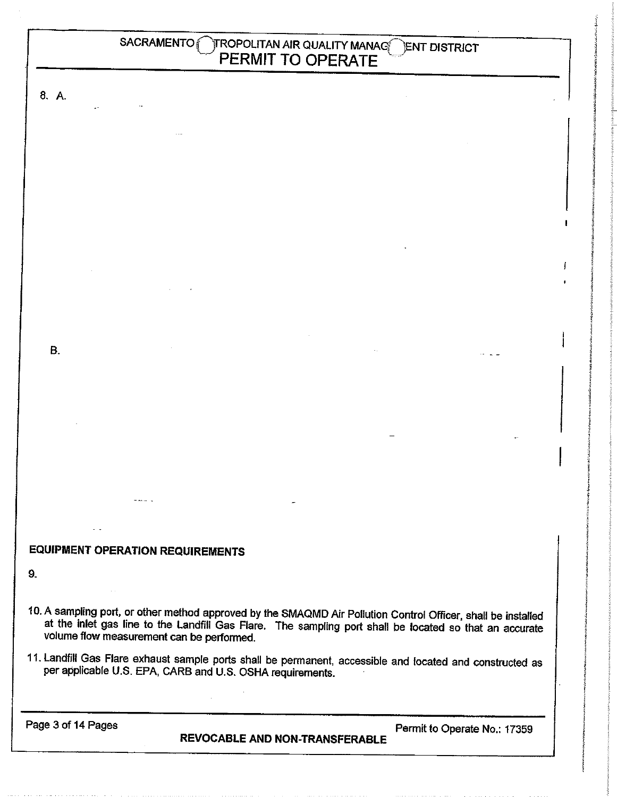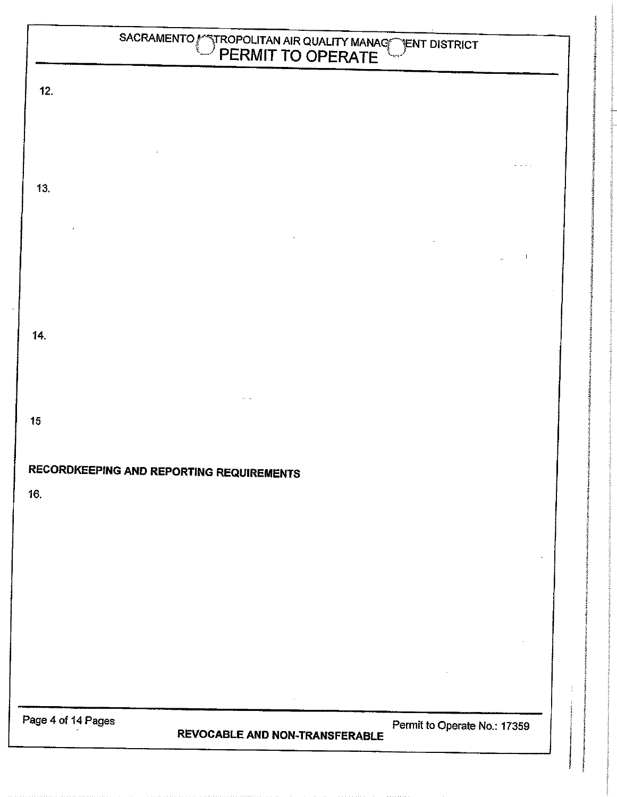| SACRAMENTO CEROPOLITAN AIR QUALITY MANAGE TENT DISTRICT |  |  |  |
|---------------------------------------------------------|--|--|--|
| 12.                                                     |  |  |  |
|                                                         |  |  |  |
|                                                         |  |  |  |
| 13.                                                     |  |  |  |
|                                                         |  |  |  |
|                                                         |  |  |  |
|                                                         |  |  |  |
| 14.                                                     |  |  |  |
|                                                         |  |  |  |
|                                                         |  |  |  |
| 15                                                      |  |  |  |
| RECORDKEEPING AND REPORTING REQUIREMENTS                |  |  |  |
| 16.                                                     |  |  |  |
|                                                         |  |  |  |
|                                                         |  |  |  |
|                                                         |  |  |  |
|                                                         |  |  |  |
|                                                         |  |  |  |
|                                                         |  |  |  |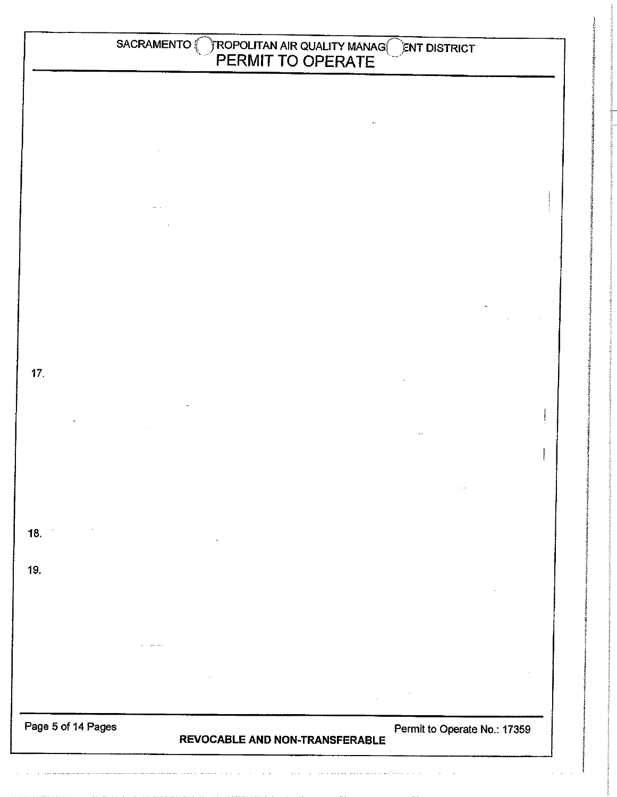|                    | SACRAMENTO <i>SACRAMENTO</i> <b>PERMIT TO OPERATE</b> |                                |                              |  |
|--------------------|-------------------------------------------------------|--------------------------------|------------------------------|--|
|                    |                                                       |                                |                              |  |
|                    |                                                       |                                |                              |  |
|                    |                                                       |                                |                              |  |
|                    |                                                       |                                |                              |  |
|                    |                                                       |                                |                              |  |
|                    |                                                       |                                |                              |  |
|                    |                                                       |                                |                              |  |
|                    |                                                       |                                |                              |  |
|                    |                                                       |                                |                              |  |
|                    |                                                       |                                |                              |  |
| 17.                |                                                       |                                |                              |  |
|                    |                                                       |                                |                              |  |
|                    |                                                       |                                |                              |  |
|                    |                                                       |                                |                              |  |
|                    |                                                       |                                |                              |  |
| 18.                |                                                       |                                |                              |  |
| 19.                |                                                       |                                |                              |  |
|                    |                                                       |                                |                              |  |
|                    |                                                       |                                |                              |  |
|                    |                                                       |                                |                              |  |
|                    |                                                       |                                |                              |  |
|                    |                                                       |                                |                              |  |
| Page 5 of 14 Pages |                                                       | REVOCABLE AND NON-TRANSFERABLE | Permit to Operate No.: 17359 |  |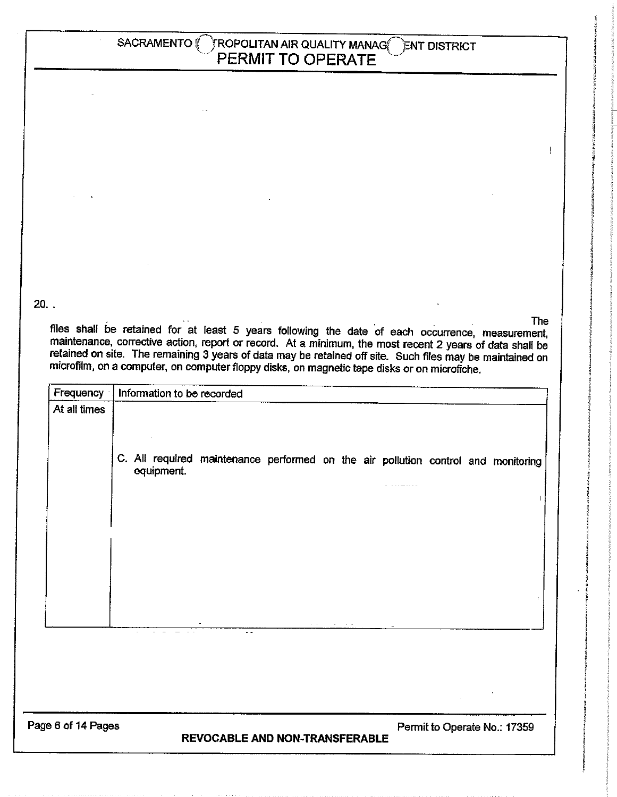### SACRAMENTO TROPOLITAN AIR QUALITY MANAG **ENT DISTRICT**

 $20.$ .

**The** 

files shall be retained for at least 5 years following the date of each occurrence, measurement, maintenance, corrective action, report or record. At a minimum, the most recent 2 years of data shall be retained on site. The remaining 3 years of data may be retained off site. Such files may be maintained on microfilm, on a computer, on computer floppy disks, on magnetic tape disks or on microfiche.

| Frequency          | Information to be recorded                                                                      |
|--------------------|-------------------------------------------------------------------------------------------------|
| At all times       |                                                                                                 |
|                    | C. All required maintenance performed on the air pollution control and monitoring<br>equipment. |
|                    |                                                                                                 |
|                    |                                                                                                 |
|                    | the company's company's company's<br>$\sim$ $\sim$                                              |
|                    |                                                                                                 |
|                    |                                                                                                 |
| Page 6 of 14 Pages | Permit to Operate No.: 17359                                                                    |

**REVOCABLE AND NON-TRANSFERABLE**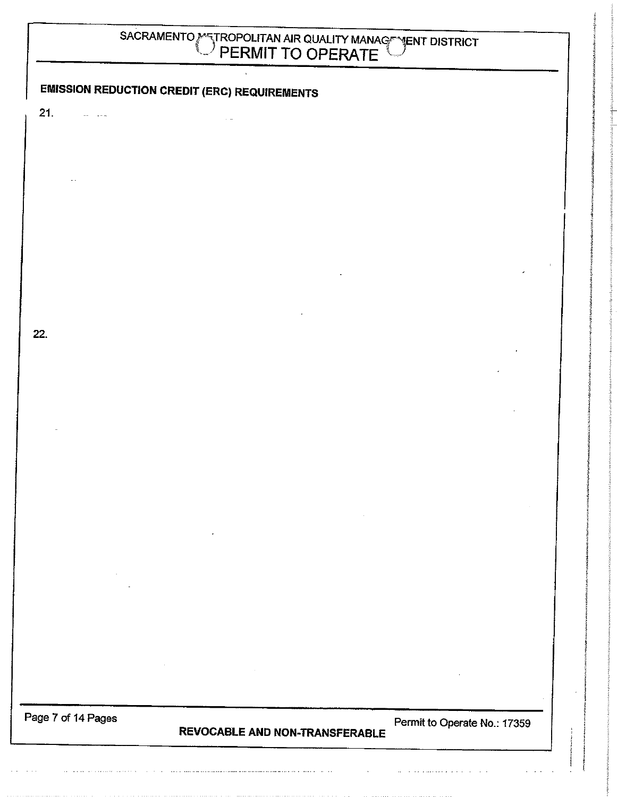# SACRAMENTO METROPOLITAN AIR QUALITY MANAGEMENT DISTRICT

 $\tilde{\mathbf{v}}$ 

 $\mathbb{R}^2$ 

## **EMISSION REDUCTION CREDIT (ERC) REQUIREMENTS**

 $21.$ 

22.

 $\frac{1}{2}$  and  $\frac{1}{2}$ 

Page 7 of 14 Pages

REVOCABLE AND NON-TRANSFERABLE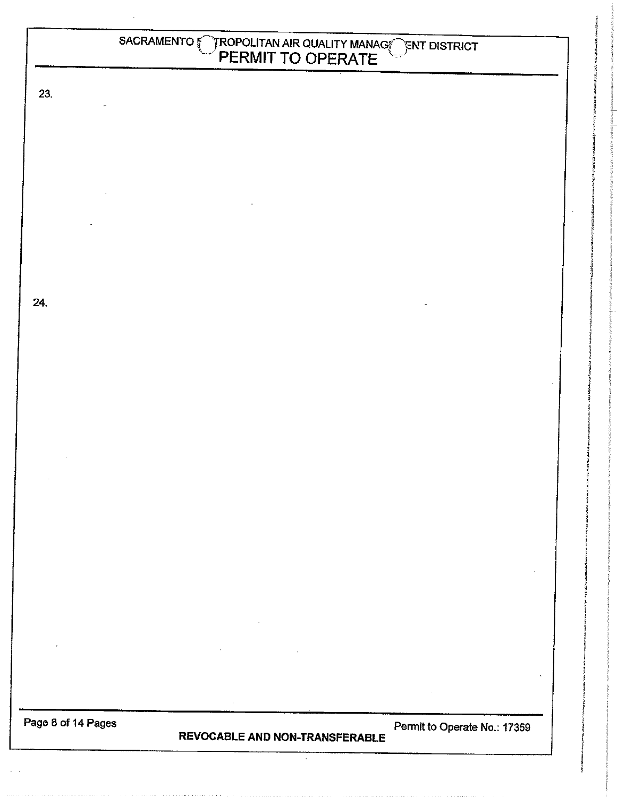|                    | SACRAMENTO <i>SACRAMENTO</i> ROPOLITAN AIR QUALITY MANAG SENT DISTRICT |                              |  |
|--------------------|------------------------------------------------------------------------|------------------------------|--|
| 23.                |                                                                        |                              |  |
|                    |                                                                        |                              |  |
|                    |                                                                        |                              |  |
|                    |                                                                        |                              |  |
|                    |                                                                        |                              |  |
|                    |                                                                        |                              |  |
|                    |                                                                        |                              |  |
|                    |                                                                        |                              |  |
| 24.                |                                                                        |                              |  |
|                    |                                                                        |                              |  |
|                    |                                                                        |                              |  |
|                    |                                                                        |                              |  |
|                    |                                                                        |                              |  |
|                    |                                                                        |                              |  |
|                    |                                                                        |                              |  |
|                    |                                                                        |                              |  |
|                    |                                                                        |                              |  |
|                    |                                                                        |                              |  |
|                    |                                                                        |                              |  |
|                    |                                                                        |                              |  |
|                    |                                                                        |                              |  |
|                    |                                                                        |                              |  |
|                    |                                                                        |                              |  |
| Page 8 of 14 Pages | REVOCABLE AND NON-TRANSFERABLE                                         | Permit to Operate No.: 17359 |  |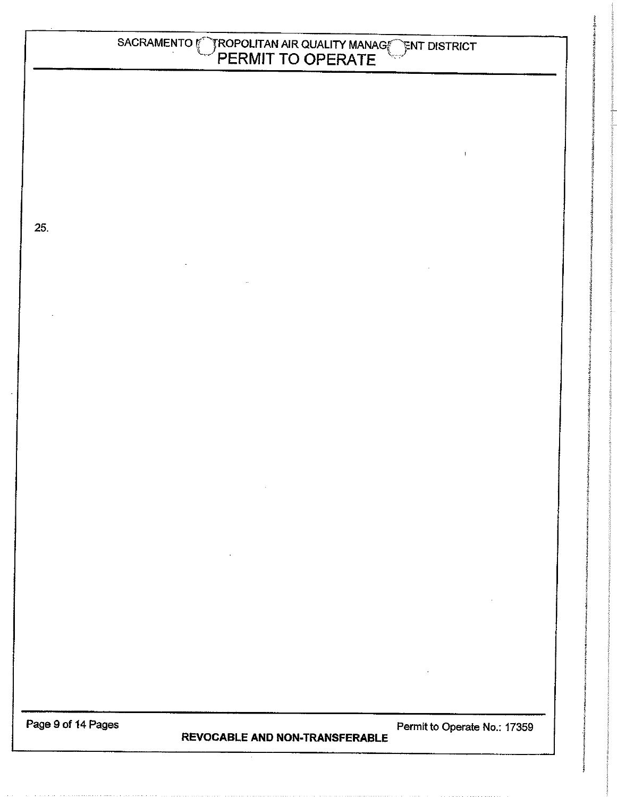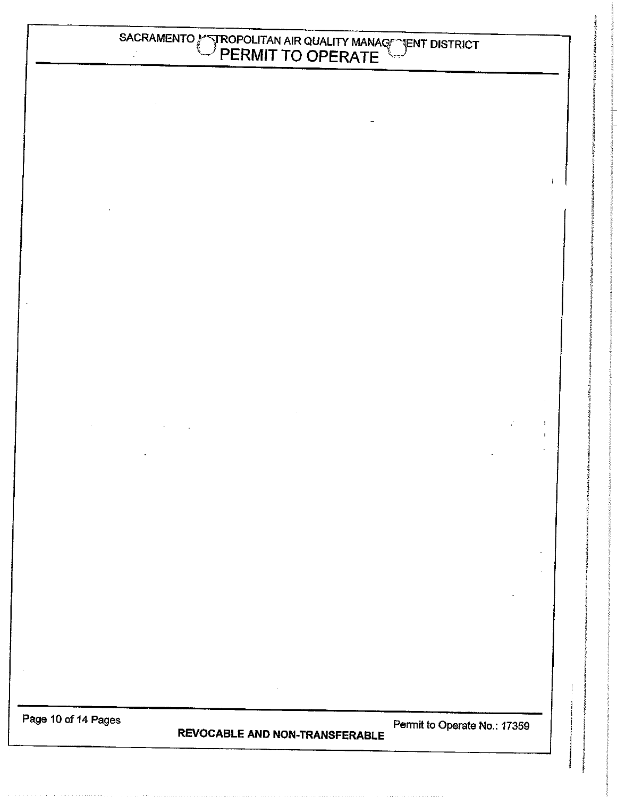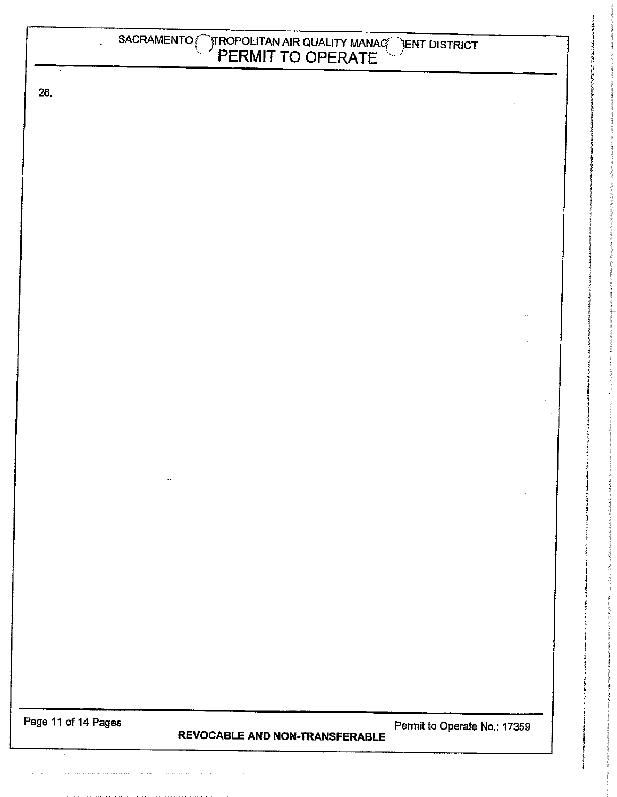|                     | SACRAMENTO <i>SACRAMENTO CTROPOLITAN AIR QUALITY MANAC</i> JENT DISTRICT |                                       |  |                              |  |
|---------------------|--------------------------------------------------------------------------|---------------------------------------|--|------------------------------|--|
| 26.                 |                                                                          |                                       |  |                              |  |
|                     |                                                                          |                                       |  |                              |  |
|                     |                                                                          |                                       |  |                              |  |
|                     |                                                                          |                                       |  |                              |  |
|                     |                                                                          |                                       |  |                              |  |
|                     |                                                                          |                                       |  |                              |  |
|                     |                                                                          |                                       |  |                              |  |
|                     |                                                                          |                                       |  |                              |  |
|                     |                                                                          |                                       |  |                              |  |
|                     |                                                                          |                                       |  |                              |  |
|                     |                                                                          |                                       |  |                              |  |
|                     |                                                                          |                                       |  |                              |  |
|                     |                                                                          |                                       |  |                              |  |
|                     |                                                                          |                                       |  |                              |  |
|                     |                                                                          |                                       |  |                              |  |
|                     | $\cdots$                                                                 |                                       |  |                              |  |
|                     |                                                                          |                                       |  |                              |  |
|                     |                                                                          |                                       |  |                              |  |
|                     |                                                                          |                                       |  |                              |  |
|                     |                                                                          |                                       |  |                              |  |
|                     |                                                                          |                                       |  |                              |  |
|                     |                                                                          |                                       |  |                              |  |
|                     |                                                                          |                                       |  |                              |  |
|                     |                                                                          |                                       |  |                              |  |
| Page 11 of 14 Pages |                                                                          |                                       |  | Permit to Operate No.: 17359 |  |
|                     |                                                                          | <b>REVOCABLE AND NON-TRANSFERABLE</b> |  |                              |  |

 $\frac{1}{2}$  , where  $\frac{1}{2}$  , and the contribution constraint mean of the contribution of the contribution of the contribution of the contribution of the contribution of the contribution of the contribution of the contrib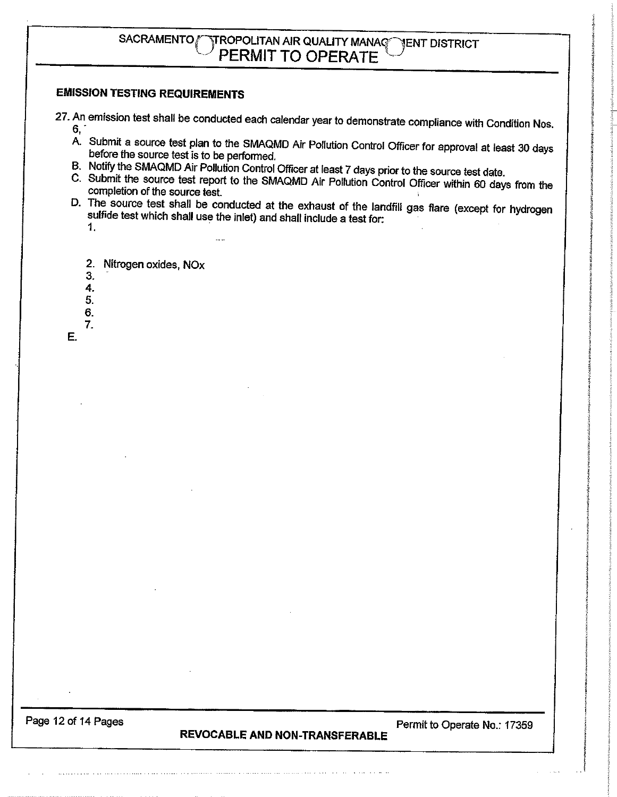#### SACRAMENTO **TROPOLITAN AIR QUALITY MANAG NENT DISTRICT** PERMIT TO OPERATE

### **EMISSION TESTING REQUIREMENTS**

27. An emission test shall be conducted each calendar year to demonstrate compliance with Condition Nos.  $6.$ 

- A. Submit a source test plan to the SMAQMD Air Pollution Control Officer for approval at least 30 days before the source test is to be performed.
- B. Notify the SMAQMD Air Pollution Control Officer at least 7 days prior to the source test date.
- C. Submit the source test report to the SMAQMD Air Pollution Control Officer within 60 days from the completion of the source test.
- D. The source test shall be conducted at the exhaust of the landfill gas flare (except for hydrogen sulfide test which shall use the inlet) and shall include a test for:  $1<sub>1</sub>$ 
	- 2. Nitrogen oxides, NOx

3.

 $4.$ 

5.

6.

 $\overline{7}$ .

E.

Page 12 of 14 Pages

REVOCABLE AND NON-TRANSFERABLE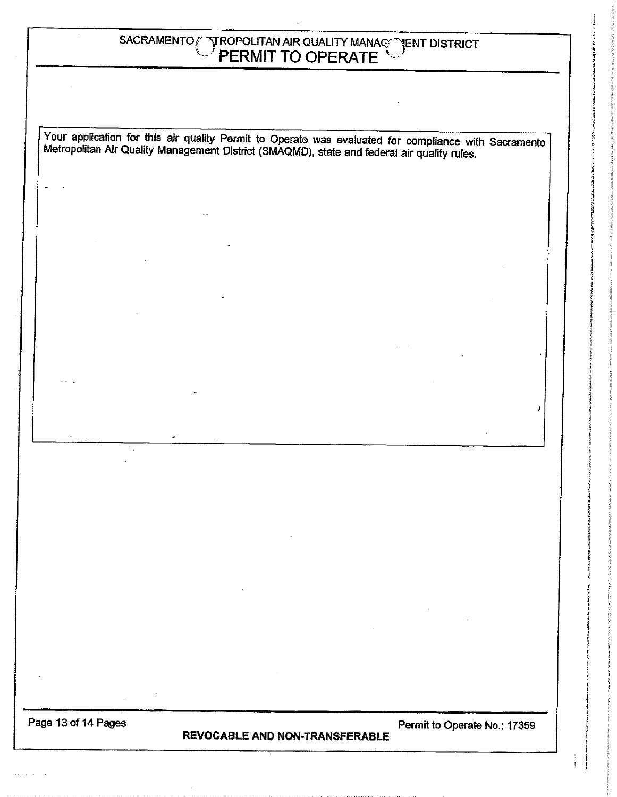## SACRAMENTO<sup>1</sup> TROPOLITAN AIR QUALITY MANAGO JENT DISTRICT<br>PERMIT TO OPERATE

Your application for this air quality Permit to Operate was evaluated for compliance with Sacramento<br>Metropolitan Air Quality Management District (SMAQMD), state and federal air quality rules.

Page 13 of 14 Pages

REVOCABLE AND NON-TRANSFERABLE